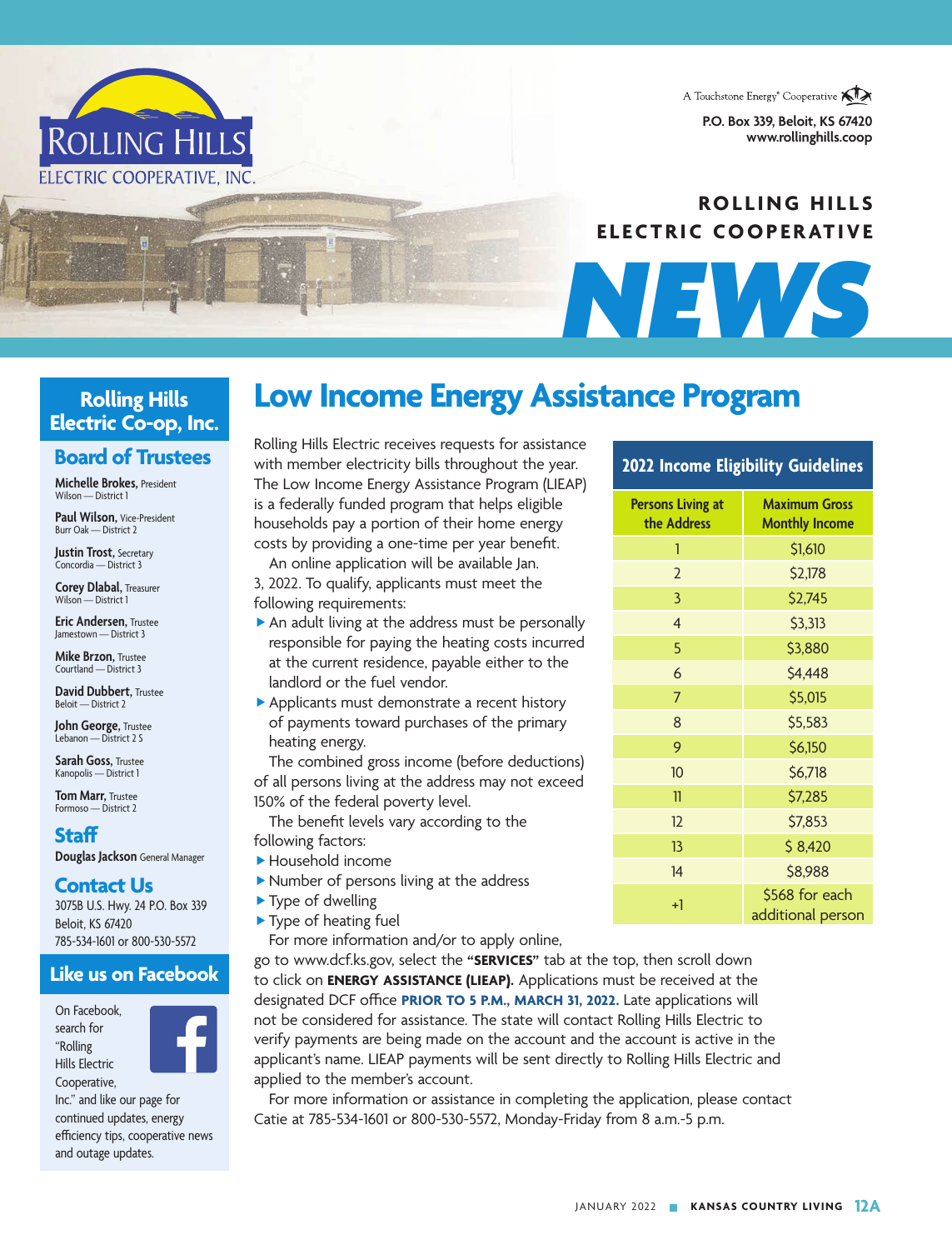A Touchstone Energy<sup>®</sup> Cooperative **AIX** 

**P.O. Box 339, Beloit, KS 67420** www.rollinghills.com



*NEWS*



#### **Rolling Hills Electric Co-op, Inc.**

#### **Board of Trustees**

**Michelle Brokes,** President Wilson — District 1

**Paul Wilson,** Vice-President Burr Oak — District 2

**Justin Trost,** Secretary Concordia — District 3

**Corey Dlabal,** Treasurer Wilson — District 1

**Eric Andersen,** Trustee Jamestown — District 3

**Mike Brzon, Trustee** Courtland — District 3

**David Dubbert,** Trustee Beloit — District 2

**John George,** Trustee Lebanon — District 2 S

**Sarah Goss,** Trustee Kanopolis — District 1

**Tom Marr,** Trustee Formoso — District 2

#### **Staff**

**Douglas Jackson** General Manager

#### **Contact Us**

3075B U.S. Hwy. 24 P.O. Box 339 Beloit, KS 67420 785-534-1601 or 800-530-5572

#### **Like us on Facebook**

On Facebook, search for "Rolling Hills Electric Cooperative,



Inc." and like our page for continued updates, energy efficiency tips, cooperative news and outage updates.

Rolling Hills Electric receives requests for assistance with member electricity bills throughout the year. The Low Income Energy Assistance Program (LIEAP) is a federally funded program that helps eligible households pay a portion of their home energy costs by providing a one-time per year benefit.

**Low Income Energy Assistance Program**

An online application will be available Jan.

3, 2022. To qualify, applicants must meet the following requirements:

- An adult living at the address must be personally responsible for paying the heating costs incurred at the current residence, payable either to the landlord or the fuel vendor.
- Applicants must demonstrate a recent history of payments toward purchases of the primary heating energy.

The combined gross income (before deductions) of all persons living at the address may not exceed 150% of the federal poverty level.

The benefit levels vary according to the following factors:

- Household income
- Number of persons living at the address
- ▶ Type of dwelling
- ▶ Type of heating fuel

For more information and/or to apply online,

go to www.dcf.ks.gov, select the **"SERVICES"** tab at the top, then scroll down to click on **ENERGY ASSISTANCE (LIEAP).** Applications must be received at the designated DCF office PRIOR TO 5 P.M., MARCH 31, 2022. Late applications will not be considered for assistance. The state will contact Rolling Hills Electric to verify payments are being made on the account and the account is active in the applicant's name. LIEAP payments will be sent directly to Rolling Hills Electric and applied to the member's account.

For more information or assistance in completing the application, please contact Catie at 785-534-1601 or 800-530-5572, Monday-Friday from 8 a.m.-5 p.m.

#### **2022 Income Eligibility Guidelines**

| <b>Persons Living at</b><br>the Address | <b>Maximum Gross</b><br><b>Monthly Income</b> |
|-----------------------------------------|-----------------------------------------------|
| 1                                       | \$1,610                                       |
| $\overline{2}$                          | \$2,178                                       |
| 3                                       | \$2,745                                       |
| $\overline{4}$                          | \$3,313                                       |
| 5                                       | \$3,880                                       |
| 6                                       | \$4,448                                       |
| 7                                       | \$5,015                                       |
| 8                                       | \$5,583                                       |
| 9                                       | \$6,150                                       |
| 10                                      | \$6,718                                       |
| 11                                      | \$7,285                                       |
| 12                                      | \$7,853                                       |
| 13                                      | \$8,420                                       |
| 14                                      | \$8,988                                       |
| $+1$                                    | \$568 for each<br>additional person           |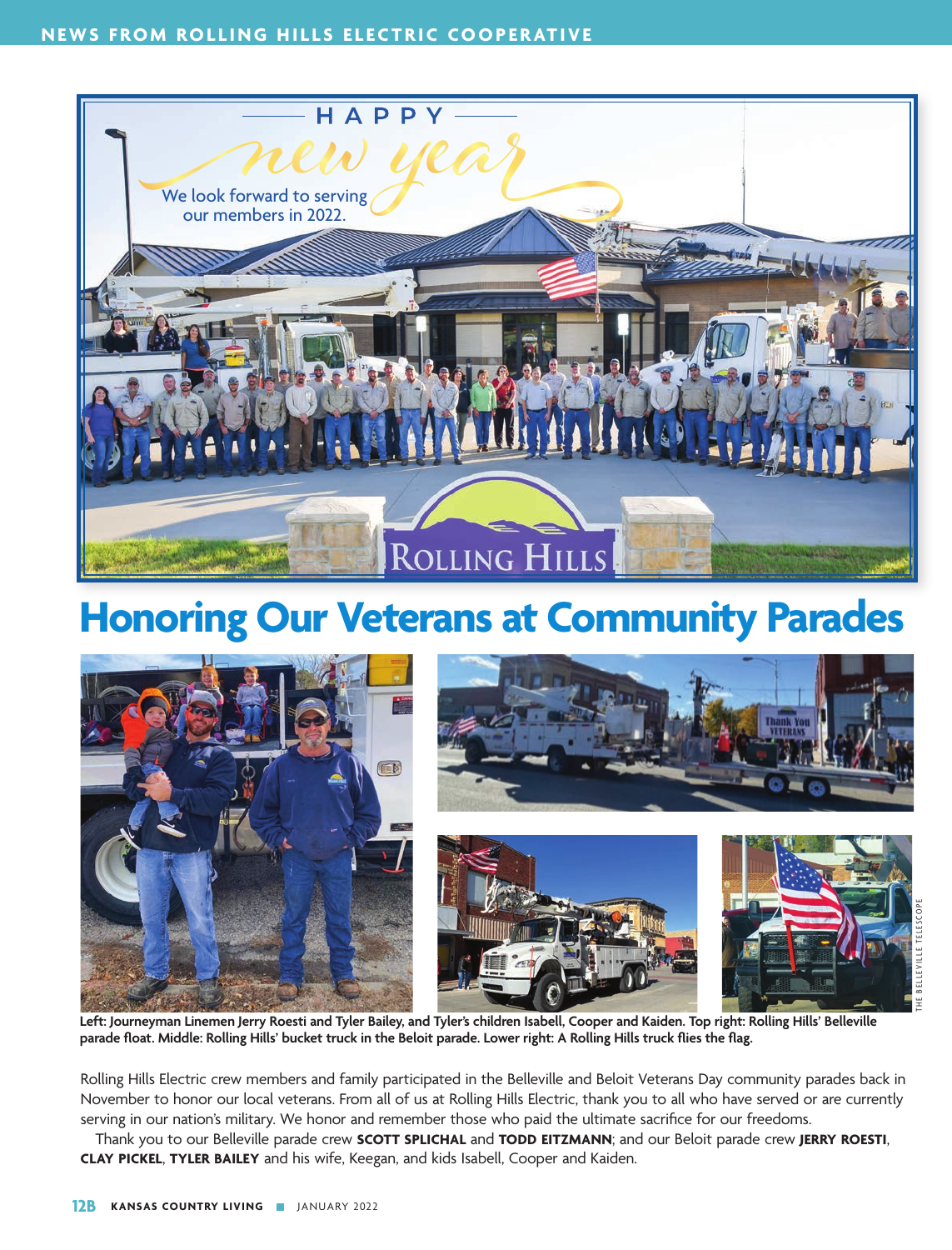

### **Honoring Our Veterans at Community Parades**



**Left: Journeyman Linemen Jerry Roesti and Tyler Bailey, and Tyler's children Isabell, Cooper and Kaiden. Top right: Rolling Hills' Belleville**  parade float. Middle: Rolling Hills' bucket truck in the Beloit parade. Lower right: A Rolling Hills truck flies the flag.

Rolling Hills Electric crew members and family participated in the Belleville and Beloit Veterans Day community parades back in November to honor our local veterans. From all of us at Rolling Hills Electric, thank you to all who have served or are currently serving in our nation's military. We honor and remember those who paid the ultimate sacrifice for our freedoms.

Thank you to our Belleville parade crew **SCOTT SPLICHAL** and **TODD EITZMANN**; and our Beloit parade crew **JERRY ROESTI**, **CLAY PICKEL**, **TYLER BAILEY** and his wife, Keegan, and kids Isabell, Cooper and Kaiden.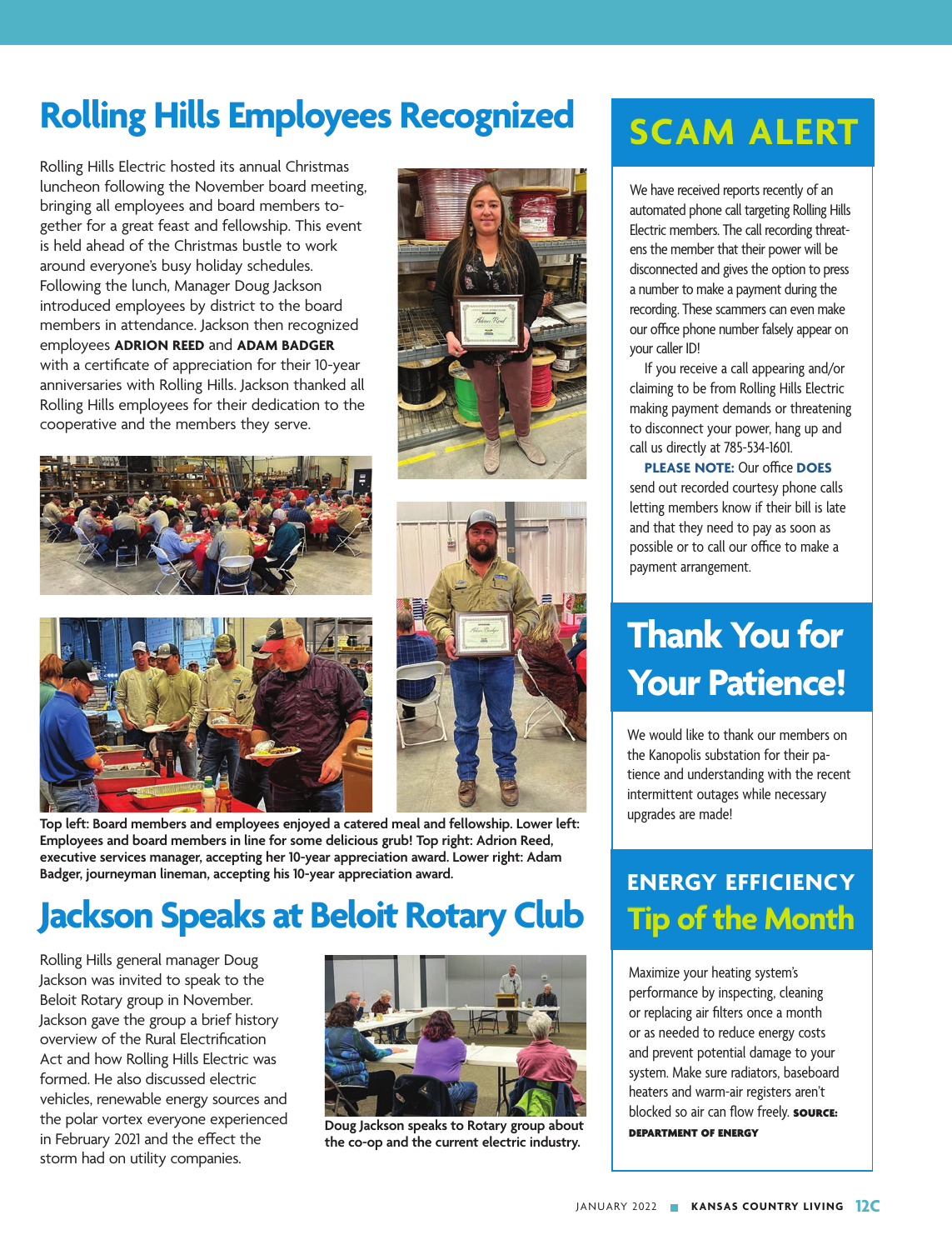# **Rolling Hills Employees Recognized**

Rolling Hills Electric hosted its annual Christmas luncheon following the November board meeting, bringing all employees and board members together for a great feast and fellowship. This event is held ahead of the Christmas bustle to work around everyone's busy holiday schedules. Following the lunch, Manager Doug Jackson introduced employees by district to the board members in attendance. Jackson then recognized employees **ADRION REED** and **ADAM BADGER**  with a certificate of appreciation for their 10-year anniversaries with Rolling Hills. Jackson thanked all Rolling Hills employees for their dedication to the cooperative and the members they serve.







**Top left: Board members and employees enjoyed a catered meal and fellowship. Lower left: Employees and board members in line for some delicious grub! Top right: Adrion Reed, executive services manager, accepting her 10-year appreciation award. Lower right: Adam Badger, journeyman lineman, accepting his 10-year appreciation award.**

### **Jackson Speaks at Beloit Rotary Club**

Rolling Hills general manager Doug Jackson was invited to speak to the Beloit Rotary group in November. Jackson gave the group a brief history overview of the Rural Electrification Act and how Rolling Hills Electric was formed. He also discussed electric vehicles, renewable energy sources and the polar vortex everyone experienced in February 2021 and the effect the storm had on utility companies.



**Doug Jackson speaks to Rotary group about the co-op and the current electric industry.**

## **SCAM ALERT**

We have received reports recently of an automated phone call targeting Rolling Hills Electric members. The call recording threatens the member that their power will be disconnected and gives the option to press a number to make a payment during the recording. These scammers can even make our office phone number falsely appear on your caller ID!

If you receive a call appearing and/or claiming to be from Rolling Hills Electric making payment demands or threatening to disconnect your power, hang up and call us directly at 785-534-1601.

**PLEASE NOTE:** Our office **DOES**  send out recorded courtesy phone calls letting members know if their bill is late and that they need to pay as soon as possible or to call our office to make a payment arrangement.

## **Thank You for Your Patience!**

We would like to thank our members on the Kanopolis substation for their patience and understanding with the recent intermittent outages while necessary upgrades are made!

### **ENERGY EFFICIENCY Tip of the Month**

Maximize your heating system's performance by inspecting, cleaning or replacing air filters once a month or as needed to reduce energy costs and prevent potential damage to your system. Make sure radiators, baseboard heaters and warm-air registers aren't blocked so air can flow freely. **SOURCE:** DEPARTMENT OF ENERGY